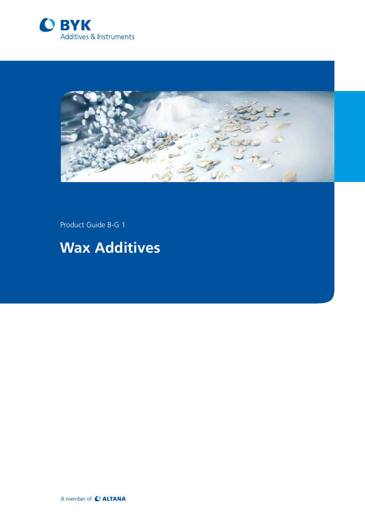



Product Guide B-G 1

# **Wax Additives**

A member of C ALTANA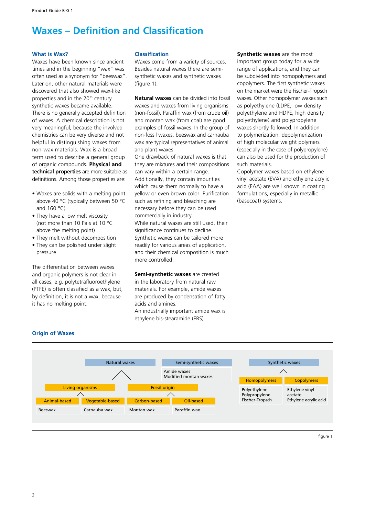### **Waxes – Definition and Classification**

#### **What is Wax?**

Waxes have been known since ancient times and in the beginning "wax" was often used as a synonym for "beeswax". Later on, other natural materials were discovered that also showed wax-like properties and in the 20<sup>th</sup> century synthetic waxes became available. There is no generally accepted definition of waxes. A chemical description is not very meaningful, because the involved chemistries can be very diverse and not helpful in distinguishing waxes from non-wax materials. Wax is a broad term used to describe a general group of organic compounds. **Physical and technical properties** are more suitable as definitions. Among those properties are:

- Waxes are solids with a melting point above 40 °C (typically between 50 °C and 160 °C)
- They have a low melt viscosity (not more than 10 Pa·s at 10 °C above the melting point)
- They melt without decomposition
- They can be polished under slight pressure

The differentiation between waxes and organic polymers is not clear in all cases, e.g. polytetrafluoroethylene (PTFE) is often classified as a wax, but, by definition, it is not a wax, because it has no melting point.

#### **Classification**

Waxes come from a variety of sources. Besides natural waxes there are semisynthetic waxes and synthetic waxes (figure 1).

**Natural waxes** can be divided into fossil waxes and waxes from living organisms (non-fossil). Paraffin wax (from crude oil) and montan wax (from coal) are good examples of fossil waxes. In the group of non-fossil waxes, beeswax and carnauba wax are typical representatives of animal and plant waxes.

One drawback of natural waxes is that they are mixtures and their compositions can vary within a certain range. Additionally, they contain impurities which cause them normally to have a yellow or even brown color. Purification such as refining and bleaching are necessary before they can be used commercially in industry. While natural waxes are still used, their significance continues to decline. Synthetic waxes can be tailored more

readily for various areas of application, and their chemical composition is much more controlled.

**Semi-synthetic waxes** are created in the laboratory from natural raw materials. For example, amide waxes are produced by condensation of fatty acids and amines. An industrially important amide wax is ethylene bis-stearamide (EBS).

**Synthetic waxes** are the most important group today for a wide range of applications, and they can be subdivided into homopolymers and copolymers. The first synthetic waxes on the market were the Fischer-Tropsch waxes. Other homopolymer waxes such as polyethylene (LDPE, low density polyethylene and HDPE, high density polyethylene) and polypropylene waxes shortly followed. In addition to polymerization, depolymerization of high molecular weight polymers (especially in the case of polypropylene) can also be used for the production of such materials.

Copolymer waxes based on ethylene vinyl acetate (EVA) and ethylene acrylic acid (EAA) are well known in coating formulations, especially in metallic (basecoat) systems.



#### **Origin of Waxes**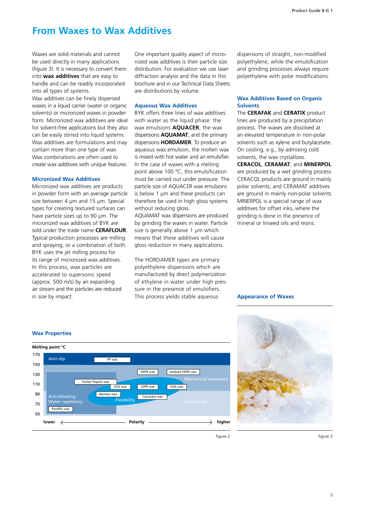### **From Waxes to Wax Additives**

Waxes are solid materials and cannot be used directly in many applications (figure 3). It is necessary to convert them into **wax additives** that are easy to handle and can be readily incorporated into all types of systems.

Wax additives can be finely dispersed waxes in a liquid carrier (water or organic solvents) or micronized waxes in powder form. Micronized wax additives are ideal for solvent-free applications but they also can be easily stirred into liquid systems. Wax additives are formulations and may contain more than one type of wax. Wax combinations are often used to create wax additives with unique features.

#### **Micronized Wax Additives**

Micronized wax additives are products in powder form with an average particle size between 4 μm and 15 μm. Special types for creating textured surfaces can have particle sizes up to 90 μm. The micronized wax additives of BYK are sold under the trade name **CERAFLOUR**. Typical production processes are milling and spraying, or a combination of both. BYK uses the jet milling process for its range of micronized wax additives. In this process, wax particles are accelerated to supersonic speed (approx. 500 m/s) by an expanding air stream and the particles are reduced in size by impact.

One important quality aspect of micronized wax additives is their particle size distribution. For evaluation we use laser diffraction analysis and the data in this brochure and in our Technical Data Sheets are distributions by volume.

#### **Aqueous Wax Additives**

BYK offers three lines of wax additives with water as the liquid phase: the wax emulsions **AQUACER**, the wax dispersions **AQUAMAT**, and the primary dispersions **HORDAMER**. To produce an aqueous wax emulsion, the molten wax is mixed with hot water and an emulsifier. In the case of waxes with a melting point above 100 °C, this emulsification must be carried out under pressure. The particle size of AQUACER wax emulsions is below 1 μm and these products can therefore be used in high gloss systems without reducing gloss.

AQUAMAT wax dispersions are produced by grinding the waxes in water. Particle size is generally above 1 μm which means that these additives will cause gloss reduction in many applications.

The HORDAMER types are primary polyethylene dispersions which are manufactured by direct polymerization of ethylene in water under high pressure in the presence of emulsifiers. This process yields stable aqueous **Appearance of Waxes**

dispersions of straight, non-modified polyethylene, while the emulsification and grinding processes always require polyethylene with polar modifications.

#### **Wax Additives Based on Organic Solvents**

The **CERAFAK** and **CERATIX** product lines are produced by a precipitation process. The waxes are dissolved at an elevated temperature in non-polar solvents such as xylene and butylacetate. On cooling, e.g., by admixing cold solvents, the wax crystallizes.

**CERACOL**, **CERAMAT**, and **MINERPOL** are produced by a wet grinding process. CERACOL products are ground in mainly polar solvents, and CERAMAT additives are ground in mainly non-polar solvents. MINERPOL is a special range of wax additives for offset inks, where the grinding is done in the presence of mineral or linseed oils and resins.





figure 2

figure 3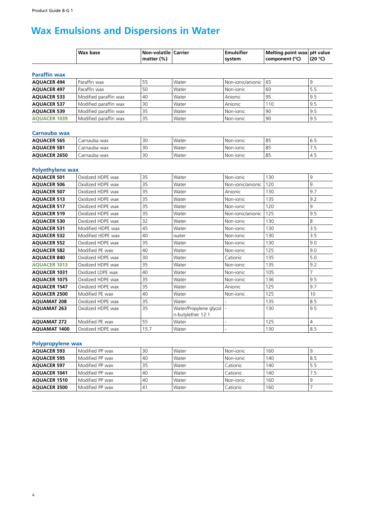## **Wax Emulsions and Dispersions in Water**

|                                    | <b>Wax base</b>       | Non-volatile Carrier<br>matter $(\%)$ |                                             | <b>Emulsifier</b><br>system | Melting point wax pH value<br>component (°C) | (20 °C)        |
|------------------------------------|-----------------------|---------------------------------------|---------------------------------------------|-----------------------------|----------------------------------------------|----------------|
|                                    |                       |                                       |                                             |                             |                                              |                |
| <b>Paraffin wax</b>                |                       |                                       |                                             |                             |                                              |                |
| <b>AQUACER 494</b>                 | Paraffin wax          | 55                                    | Water                                       | Non-ionic/anionic           | 65                                           | 9              |
| <b>AQUACER 497</b>                 | Paraffin wax          | 50                                    | Water                                       | Non-ionic                   | 60                                           | 5.5            |
| <b>AQUACER 533</b>                 | Modified paraffin wax | 40                                    | Water                                       | Anionic                     | 95                                           | 9.5            |
| <b>AQUACER 537</b>                 | Modified paraffin wax | 30                                    | Water                                       | Anionic                     | 110                                          | 9.5            |
| <b>AQUACER 539</b>                 | Modified paraffin wax | 35                                    | Water                                       | Non-ionic                   | 90                                           | 9.5            |
| <b>AQUACER 1039</b>                | Modified paraffin wax | 35                                    | Water                                       | Non-ionic                   | 90                                           | 9.5            |
|                                    |                       |                                       |                                             |                             |                                              |                |
| Carnauba wax<br><b>AQUACER 565</b> | Carnauba wax          | 30                                    | Water                                       | Non-ionic                   | 85                                           | 6.5            |
| <b>AQUACER 581</b>                 | Carnauba wax          | 30                                    | Water                                       | Non-ionic                   | 85                                           | 7.5            |
|                                    |                       |                                       |                                             |                             | 85                                           | 4.5            |
| <b>AQUACER 2650</b>                | Carnauba wax          | 30                                    | Water                                       | Non-jonic                   |                                              |                |
| <b>Polyethylene wax</b>            |                       |                                       |                                             |                             |                                              |                |
| <b>AQUACER 501</b>                 | Oxidized HDPE wax     | 35                                    | Water                                       | Non-ionic                   | 130                                          | 9              |
| <b>AQUACER 506</b>                 | Oxidized HDPE wax     | 35                                    | Water                                       | Non-ionic/anionic           | 120                                          | 9              |
| <b>AQUACER 507</b>                 | Oxidized HDPE wax     | 35                                    | Water                                       | Anionic                     | 130                                          | 9.7            |
| <b>AQUACER 513</b>                 | Oxidized HDPE wax     | 35                                    | Water                                       | Non-jonic                   | 135                                          | 9.2            |
| <b>AQUACER 517</b>                 | Oxidized HDPE wax     | 35                                    | Water                                       | Non-jonic                   | 120                                          | 9              |
| <b>AQUACER 519</b>                 | Oxidized HDPE wax     | 35                                    | Water                                       | Non-ionic/anionic           | 125                                          | 9.5            |
| <b>AQUACER 530</b>                 | Oxidized HDPE wax     | 32                                    | Water                                       | Non-ionic                   | 130                                          | 8              |
| <b>AQUACER 531</b>                 | Modified HDPE wax     | 45                                    | Water                                       | Non-jonic                   | 130                                          | 3.5            |
| <b>AQUACER 532</b>                 | Modified HDPE wax     | 40                                    | water                                       | Non-jonic                   | 130                                          | 3.5            |
| <b>AQUACER 552</b>                 | Oxidized HDPE wax     | 35                                    | Water                                       | Non-jonic                   | 130                                          | 9.0            |
| <b>AQUACER 582</b>                 | Modified PE wax       | 40                                    | Water                                       | Non-jonic                   | 125                                          | 9.0            |
| <b>AQUACER 840</b>                 | Oxidized HDPE wax     | 30                                    | Water                                       | Cationic                    | 135                                          | 5.0            |
| <b>AQUACER 1013</b>                | Oxidized HDPE wax     | 35                                    | Water                                       | Non-ionic                   | 135                                          | 9.2            |
| <b>AQUACER 1031</b>                | Oxidized LDPE wax     | 40                                    | Water                                       | Non-jonic                   | 105                                          | $\overline{7}$ |
| <b>AQUACER 1075</b>                | Oxidized HDPE wax     | 35                                    | Water                                       | Non-ionic                   | 136                                          | 9.5            |
| <b>AQUACER 1547</b>                | Oxidized HDPE wax     | 35                                    | Water                                       | Anionic                     | 125                                          | 9.7            |
| <b>AQUACER 2500</b>                | Modified PE wax       | 40                                    | Water                                       | Non-ionic                   | 125                                          | 10             |
| <b>AQUAMAT 208</b>                 | Oxidized HDPE wax     | 35                                    | Water                                       |                             | 135                                          | 8.5            |
| <b>AQUAMAT 263</b>                 | Oxidized HDPE wax     | 35                                    | Water/Propylene glycol<br>n-butylether 12:1 |                             | 130                                          | 9.5            |
| <b>AQUAMAT 272</b>                 | Modified PE wax       | 55                                    | Water                                       |                             | 125                                          | 4              |
| <b>AQUAMAT 1400</b>                | Oxidized HDPE wax     | 15.7                                  | Water                                       | $\overline{a}$              | 130                                          | 8.5            |

#### **Polypropylene wax**

| <b>AQUACER 593</b>  | l Modified PP wax | 30 | Water | l Non-ionic | 160 |       |
|---------------------|-------------------|----|-------|-------------|-----|-------|
| <b>AQUACER 595</b>  | Modified PP wax   | 40 | Water | l Non-ionic | 140 | ' 8.5 |
| <b>AQUACER 597</b>  | Modified PP wax   | 35 | Water | Cationic    | 140 | 5.5   |
| <b>AOUACER 1041</b> | Modified PP wax   | 40 | Water | Cationic    | 140 | 7.5   |
| <b>AQUACER 1510</b> | Modified PP wax   | 40 | Water | Non-ionic   | 160 |       |
| <b>AQUACER 3500</b> | l Modified PP wax | 41 | Water | Cationic    | 160 |       |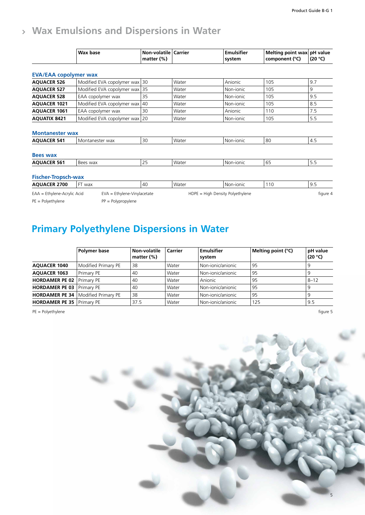### **Wax Emulsions and Dispersions in Water**

|                                              | Wax base                      | Non-volatile   Carrier<br>matter $(\%)$ |       | <b>Emulsifier</b><br>system      | Melting point wax pH value<br>component (°C) | (20 °C)  |
|----------------------------------------------|-------------------------------|-----------------------------------------|-------|----------------------------------|----------------------------------------------|----------|
|                                              |                               |                                         |       |                                  |                                              |          |
| <b>EVA/EAA copolymer wax</b>                 |                               |                                         |       |                                  |                                              |          |
| <b>AQUACER 526</b>                           | Modified EVA copolymer wax 30 |                                         | Water | Anionic                          | 105                                          | 9.7      |
| <b>AQUACER 527</b>                           | Modified EVA copolymer wax    | 35                                      | Water | Non-jonic                        | 105                                          | 9        |
| <b>AQUACER 528</b>                           | EAA copolymer wax             | 35                                      | Water | Non-ionic                        | 105                                          | 9.5      |
| <b>AQUACER 1021</b>                          | Modified EVA copolymer wax    | 40                                      | Water | Non-jonic                        | 105                                          | 8.5      |
| <b>AQUACER 1061</b>                          | EAA copolymer wax             | 30                                      | Water | Anionic                          | 110                                          | 7.5      |
| <b>AQUATIX 8421</b>                          | Modified EVA copolymer wax    | 20                                      | Water | Non-jonic                        | 105                                          | 5.5      |
| <b>Montanester wax</b><br><b>AQUACER 541</b> | Montanester wax               | 30                                      | Water | Non-jonic                        | 80                                           | 4.5      |
|                                              |                               |                                         |       |                                  |                                              |          |
| <b>Bees wax</b>                              |                               |                                         |       |                                  |                                              |          |
| <b>AQUACER 561</b>                           | Bees wax                      | 25                                      | Water | Non-jonic                        | 65                                           | 5.5      |
| <b>Fischer-Tropsch-wax</b>                   |                               |                                         |       |                                  |                                              |          |
| <b>AQUACER 2700</b>                          | FT wax                        | 40                                      | Water | Non-ionic                        | 110                                          | 9.5      |
| EAA = Ethylene-Acrylic Acid                  | EVA = Ethylene-Vinylacetate   |                                         |       | HDPE = High Density Polyethylene |                                              | figure 4 |
| $PE = Polyethylene$                          | $PP = Polypropylene$          |                                         |       |                                  |                                              |          |

### **Primary Polyethylene Dispersions in Water**

|                                    | Polymer base                                | Non-volatile<br>matter $(\%)$ | Carrier | Emulsifier<br>system | Melting point $(°C)$ | pH value<br>(20 °C) |
|------------------------------------|---------------------------------------------|-------------------------------|---------|----------------------|----------------------|---------------------|
| <b>AQUACER 1040</b>                | Modified Primary PE                         | 38                            | l Water | l Non-ionic/anionic  | 95                   |                     |
| <b>AQUACER 1063</b>                | Primary PE                                  | 40                            | Water   | l Non-ionic/anionic  | 95                   |                     |
| <b>HORDAMER PE 02   Primary PE</b> |                                             | 40                            | l Water | Anionic              | 95                   | $8 - 12$            |
| <b>HORDAMER PE 03</b> Primary PE   |                                             | 40                            | l Water | Non-ionic/anionic    | 95                   |                     |
|                                    | <b>HORDAMER PE 34   Modified Primary PE</b> | 38                            | l Water | Non-ionic/anionic    | 95                   |                     |
| HORDAMER PE 35   Primary PE        |                                             | 37.5                          | l Water | Non-ionic/anionic    | 125                  | 9.5                 |

PE = Polyethylene figure 5

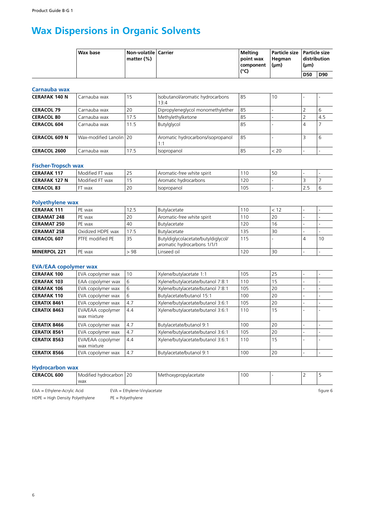### **Wax Dispersions in Organic Solvents**

| Wax base | Non-volatile   Carrier<br>matter (%) | Meltina<br>  point wax<br>  component | Particle size   Particle size  <br>Heaman<br>$\mathsf{l}(\mathsf{µm})$ | distribution<br>$(\mu m)$ |     |
|----------|--------------------------------------|---------------------------------------|------------------------------------------------------------------------|---------------------------|-----|
|          |                                      | (°C)                                  |                                                                        | <b>D50</b>                | D90 |

#### **Carnauba wax**

| <b>CERAFAK 140 N</b> | Carnauba wax            | 15   | Isobutanol/aromatic hydrocarbons<br>13:4 | 85 | 10   |   |     |
|----------------------|-------------------------|------|------------------------------------------|----|------|---|-----|
| <b>CERACOL 79</b>    | Carnauba wax            | 20   | Dipropyleneglycol monomethylether        | 85 |      |   |     |
| <b>CERACOL 80</b>    | Carnauba wax            | 17.5 | Methylethylketone                        | 85 |      |   | 4.5 |
| <b>CERACOL 604</b>   | Carnauba wax            | 11.5 | Butylglycol                              | 85 |      | 4 |     |
| <b>CERACOL 609 N</b> | Wax-modified Lanolin 20 |      | Aromatic hydrocarbons/isopropanol<br>1:1 | 85 |      |   |     |
| <b>CERACOL 2600</b>  | Carnauba wax            | 17.5 | Isopropanol                              | 85 | < 20 |   |     |

### **Fischer-Tropsch wax**

| <b>CERAFAK 117</b>   | $-$<br>. Modified<br>FT wax | 25         | LAromatic-free white spirit | 10  | 5C |                 |  |
|----------------------|-----------------------------|------------|-----------------------------|-----|----|-----------------|--|
| <b>CERAFAK 127 N</b> | Modified<br>FT wax          | 1 E<br>ر ، | : hvdrocarbons<br>Aromatic  | 120 |    |                 |  |
| <b>CERACOL 83</b>    | wax                         | 20         | <b>Isopropanol</b>          | 105 |    | $\sim$<br>ر . ے |  |

#### **Polyethylene wax**

| <b>CERAFAK 111</b>  | PE wax            | 12.5 | Butylacetate                                                       | 10  | < 12 |    |
|---------------------|-------------------|------|--------------------------------------------------------------------|-----|------|----|
| <b>CERAMAT 248</b>  | PE wax            | 20   | Aromatic-free white spirit                                         | 10  | 20   |    |
| <b>CERAMAT 250</b>  | PE wax            | 40   | Butylacetate                                                       | 120 | 16   |    |
| <b>CERAMAT 258</b>  | Oxidized HDPE wax | 17.5 | Butylacetate                                                       | 135 | 30   |    |
| <b>CERACOL 607</b>  | PTFE modified PE  | 35   | Butyldiglycolacetate/butyldiglycol/<br>aromatic hydrocarbons 1/1/1 | 115 |      | 10 |
| <b>MINERPOL 221</b> | PE wax            | > 98 | Linseed oil                                                        | 120 | 30   |    |

#### **EVA/EAA copolymer wax**

| <b>CERAFAK 100</b>  | EVA copolymer wax                | 10  | Xylene/butylacetate 1:1           | 105 | 25 |  |
|---------------------|----------------------------------|-----|-----------------------------------|-----|----|--|
| <b>CERAFAK 103</b>  | EAA copolymer wax                | 6   | Xylene/butylacetate/butanol 7:8:1 | 110 | 15 |  |
| <b>CERAFAK 106</b>  | EVA copolymer wax                | 6   | Xylene/butylacetate/butanol 7:8:1 | 105 | 20 |  |
| <b>CERAFAK 110</b>  | EVA copolymer wax                | 6   | Butylacetate/butanol 15:1         | 100 | 20 |  |
| <b>CERATIX 8461</b> | EVA copolymer wax                | 4.7 | Xylene/butylacetate/butanol 3:6:1 | 105 | 20 |  |
| <b>CERATIX 8463</b> | EVA/EAA copolymer<br>wax mixture | 4.4 | Xylene/butylacetate/butanol 3:6:1 | 110 | 15 |  |
| <b>CERATIX 8466</b> | EVA copolymer wax                | 4.7 | Butylacetate/butanol 9:1          | 100 | 20 |  |
| <b>CERATIX 8561</b> | EVA copolymer wax                | 4.7 | Xylene/butylacetate/butanol 3:6:1 | 105 | 20 |  |
| <b>CERATIX 8563</b> | EVA/EAA copolymer<br>wax mixture | 4.4 | Xylene/butylacetate/butanol 3:6:1 | 110 | 15 |  |
| <b>CERATIX 8566</b> | EVA copolymer wax                | 4.7 | Butylacetate/butanol 9:1          | 100 | 20 |  |

#### **Hydrocarbon wax**

| <b>CERACOL 600</b>                                            | Modified hydrocarbon 120<br>wax |  | Methoxypropylacetate | 100 |  |          |
|---------------------------------------------------------------|---------------------------------|--|----------------------|-----|--|----------|
| EAA = Ethylene-Acrylic Acid<br>$EVA = Eth$ ylene-Vinylacetate |                                 |  |                      |     |  | figure 6 |

HDPE = High Density Polyethylene PE = Polyethylene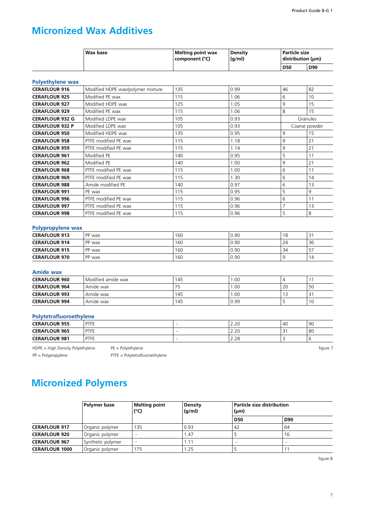### **Micronized Wax Additives**

| <b>Wax base</b> | Melting point wax<br>  component (°C) | <b>Density</b><br>(g/ml) | Particle size<br>$ $ distribution ( $\mu$ m) |            |
|-----------------|---------------------------------------|--------------------------|----------------------------------------------|------------|
|                 |                                       |                          | <b>D50</b>                                   | <b>D90</b> |

#### **Polyethylene wax**

| <b>CERAFLOUR 916</b>   | Modified HDPE wax/polymer mixture | 135 | 0.99 | 46 | 82            |
|------------------------|-----------------------------------|-----|------|----|---------------|
| <b>CERAFLOUR 925</b>   | Modified PE wax                   | 115 | 1.06 | 6  | 10            |
| <b>CERAFLOUR 927</b>   | Modified HDPE wax                 | 125 | 1.05 | 9  | 15            |
| <b>CERAFLOUR 929</b>   | Modified PE wax                   | 115 | 1.06 | 8  | 15            |
| <b>CERAFLOUR 932 G</b> | Modified LDPE wax                 | 105 | 0.93 |    | Granules      |
| <b>CERAFLOUR 932 P</b> | Modified LDPE wax                 | 105 | 0.93 |    | Coarse powder |
| <b>CERAFLOUR 950</b>   | Modified HDPE wax                 | 135 | 0.95 | 9  | 15            |
| <b>CERAFLOUR 958</b>   | PTFE modified PE wax              | 115 | 1.18 | 9  | 21            |
| <b>CERAFLOUR 959</b>   | PTFE modified PE wax              | 115 | 1.14 | 9  | 21            |
| <b>CERAFLOUR 961</b>   | Modified PE                       | 140 | 0.95 | 5  | 11            |
| <b>CERAFLOUR 962</b>   | Modified PE                       | 140 | 1.00 | 9  | 21            |
| <b>CERAFLOUR 968</b>   | PTFE modified PE wax              | 115 | 1.00 | 6  | 11            |
| <b>CERAFLOUR 969</b>   | PTFE modified PE wax              | 115 | 1.30 | 6  | 14            |
| <b>CERAFLOUR 988</b>   | Amide modified PE                 | 140 | 0.97 | 6  | 13            |
| <b>CERAFLOUR 991</b>   | PE wax                            | 115 | 0.95 | 5  | 9             |
| <b>CERAFLOUR 996</b>   | PTFE modified PE wax              | 115 | 0.96 | 6  | 11            |
| <b>CERAFLOUR 997</b>   | PTFE modified PE wax              | 115 | 0.96 |    | 13            |
| <b>CERAFLOUR 998</b>   | PTFE modified PE wax              | 115 | 0.96 | 5  | 8             |

#### **Polypropylene wax**

| <b>CERAFLOUR 913</b> | PP wax | 160 | 0.90 | 18 | ا پ |
|----------------------|--------|-----|------|----|-----|
| <b>CERAFLOUR 914</b> | PP wax | 160 | 0.90 | 24 | 36  |
| <b>CERAFLOUR 915</b> | PP wax | 160 | 0.90 | 34 |     |
| <b>CERAFLOUR 970</b> | PP wax | 160 | 0.90 |    | 14  |

#### **Amide wax**

| <b>CERAFLOUR 960</b> | Modified amide wax | 145 | .00   |    |    |
|----------------------|--------------------|-----|-------|----|----|
| <b>CERAFLOUR 964</b> | Amide wax          |     | 00. ، | 20 | 50 |
| <b>CERAFLOUR 993</b> | Amide wax          | 145 | .00   |    |    |
| <b>CERAFLOUR 994</b> | Amide wax          | 145 | 0.99  |    | 10 |

#### **Polytetrafluoroethylene**

| <b>CERAFLOUR 955</b> | PTFE        | ີ<br>2.ZU  | $\Delta$<br>− | 90 |
|----------------------|-------------|------------|---------------|----|
| <b>CERAFLOUR 965</b> | PTFE        | 2.20       |               | 80 |
| <b>CERAFLOUR 981</b> | <b>PTFE</b> | າດ<br>2.ZÕ |               |    |

HDPE = High Density Polyethylene PE = Polyethylene PE = Polyethylene

PP = Polypropylene PTFE = Polytetrafluoroethylene

### **Micronized Polymers**

|                       | Polymer base      | Melting point<br>(°C) | <b>Density</b><br>(q/ml) | $(\mu m)$  | Particle size distribution |  |
|-----------------------|-------------------|-----------------------|--------------------------|------------|----------------------------|--|
|                       |                   |                       |                          | <b>D50</b> | <b>D90</b>                 |  |
| <b>CERAFLOUR 917</b>  | Organic polymer   | 135                   | 0.93                     | 42         | ' 64                       |  |
| <b>CERAFLOUR 920</b>  | Organic polymer   |                       | . 47                     |            | 16                         |  |
| <b>CERAFLOUR 967</b>  | Synthetic polymer |                       | . . 1 $^{\circ}$         |            |                            |  |
| <b>CERAFLOUR 1000</b> | Organic polymer   | 175                   | .25                      |            |                            |  |

figure 8